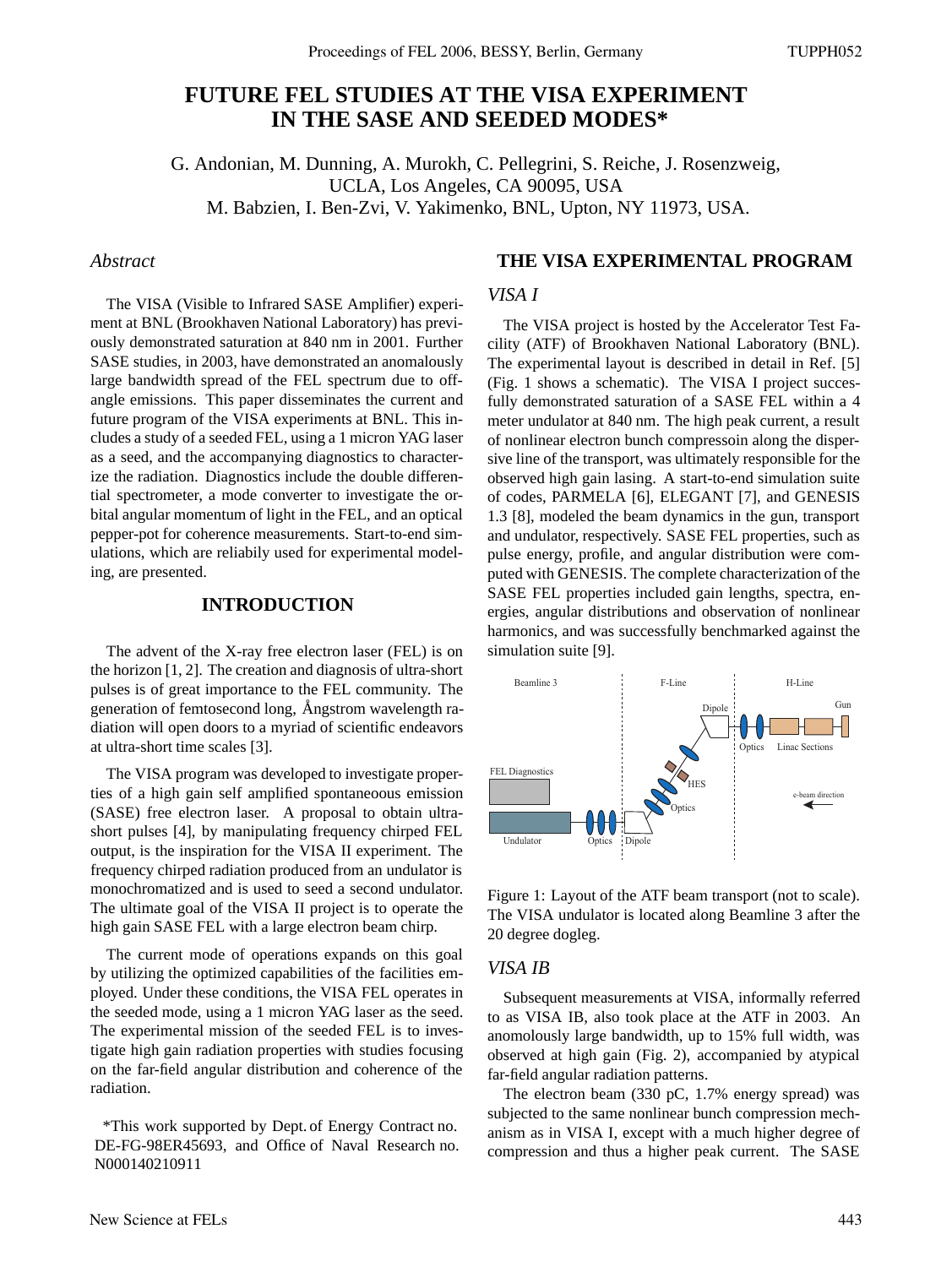# **FUTURE FEL STUDIES AT THE VISA EXPERIMENT IN THE SASE AND SEEDED MODES\***

G. Andonian, M. Dunning, A. Murokh, C. Pellegrini, S. Reiche, J. Rosenzweig, UCLA, Los Angeles, CA 90095, USA M. Babzien, I. Ben-Zvi, V. Yakimenko, BNL, Upton, NY 11973, USA.

### *Abstract*

The VISA (Visible to Infrared SASE Amplifier) experiment at BNL (Brookhaven National Laboratory) has previously demonstrated saturation at 840 nm in 2001. Further SASE studies, in 2003, have demonstrated an anomalously large bandwidth spread of the FEL spectrum due to offangle emissions. This paper disseminates the current and future program of the VISA experiments at BNL. This includes a study of a seeded FEL, using a 1 micron YAG laser as a seed, and the accompanying diagnostics to characterize the radiation. Diagnostics include the double differential spectrometer, a mode converter to investigate the orbital angular momentum of light in the FEL, and an optical pepper-pot for coherence measurements. Start-to-end simulations, which are reliabily used for experimental modeling, are presented.

### **INTRODUCTION**

The advent of the X-ray free electron laser (FEL) is on the horizon [1, 2]. The creation and diagnosis of ultra-short pulses is of great importance to the FEL community. The generation of femtosecond long, Angstrom wavelength radiation will open doors to a myriad of scientific endeavors at ultra-short time scales [3].

The VISA program was developed to investigate properties of a high gain self amplified spontaneoous emission (SASE) free electron laser. A proposal to obtain ultrashort pulses [4], by manipulating frequency chirped FEL output, is the inspiration for the VISA II experiment. The frequency chirped radiation produced from an undulator is monochromatized and is used to seed a second undulator. The ultimate goal of the VISA II project is to operate the high gain SASE FEL with a large electron beam chirp.

The current mode of operations expands on this goal by utilizing the optimized capabilities of the facilities employed. Under these conditions, the VISA FEL operates in the seeded mode, using a 1 micron YAG laser as the seed. The experimental mission of the seeded FEL is to investigate high gain radiation properties with studies focusing on the far-field angular distribution and coherence of the radiation.

\*This work supported by Dept. of Energy Contract no. DE-FG-98ER45693, and Office of Naval Research no. N000140210911

## **THE VISA EXPERIMENTAL PROGRAM**

#### *VISA I*

The VISA project is hosted by the Accelerator Test Facility (ATF) of Brookhaven National Laboratory (BNL). The experimental layout is described in detail in Ref. [5] (Fig. 1 shows a schematic). The VISA I project succesfully demonstrated saturation of a SASE FEL within a 4 meter undulator at 840 nm. The high peak current, a result of nonlinear electron bunch compressoin along the dispersive line of the transport, was ultimately responsible for the observed high gain lasing. A start-to-end simulation suite of codes, PARMELA [6], ELEGANT [7], and GENESIS 1.3 [8], modeled the beam dynamics in the gun, transport and undulator, respectively. SASE FEL properties, such as pulse energy, profile, and angular distribution were computed with GENESIS. The complete characterization of the SASE FEL properties included gain lengths, spectra, energies, angular distributions and observation of nonlinear harmonics, and was successfully benchmarked against the simulation suite [9].



Figure 1: Layout of the ATF beam transport (not to scale). The VISA undulator is located along Beamline 3 after the 20 degree dogleg.

#### *VISA IB*

Subsequent measurements at VISA, informally referred to as VISA IB, also took place at the ATF in 2003. An anomolously large bandwidth, up to 15% full width, was observed at high gain (Fig. 2), accompanied by atypical far-field angular radiation patterns.

The electron beam (330 pC, 1.7% energy spread) was subjected to the same nonlinear bunch compression mechanism as in VISA I, except with a much higher degree of compression and thus a higher peak current. The SASE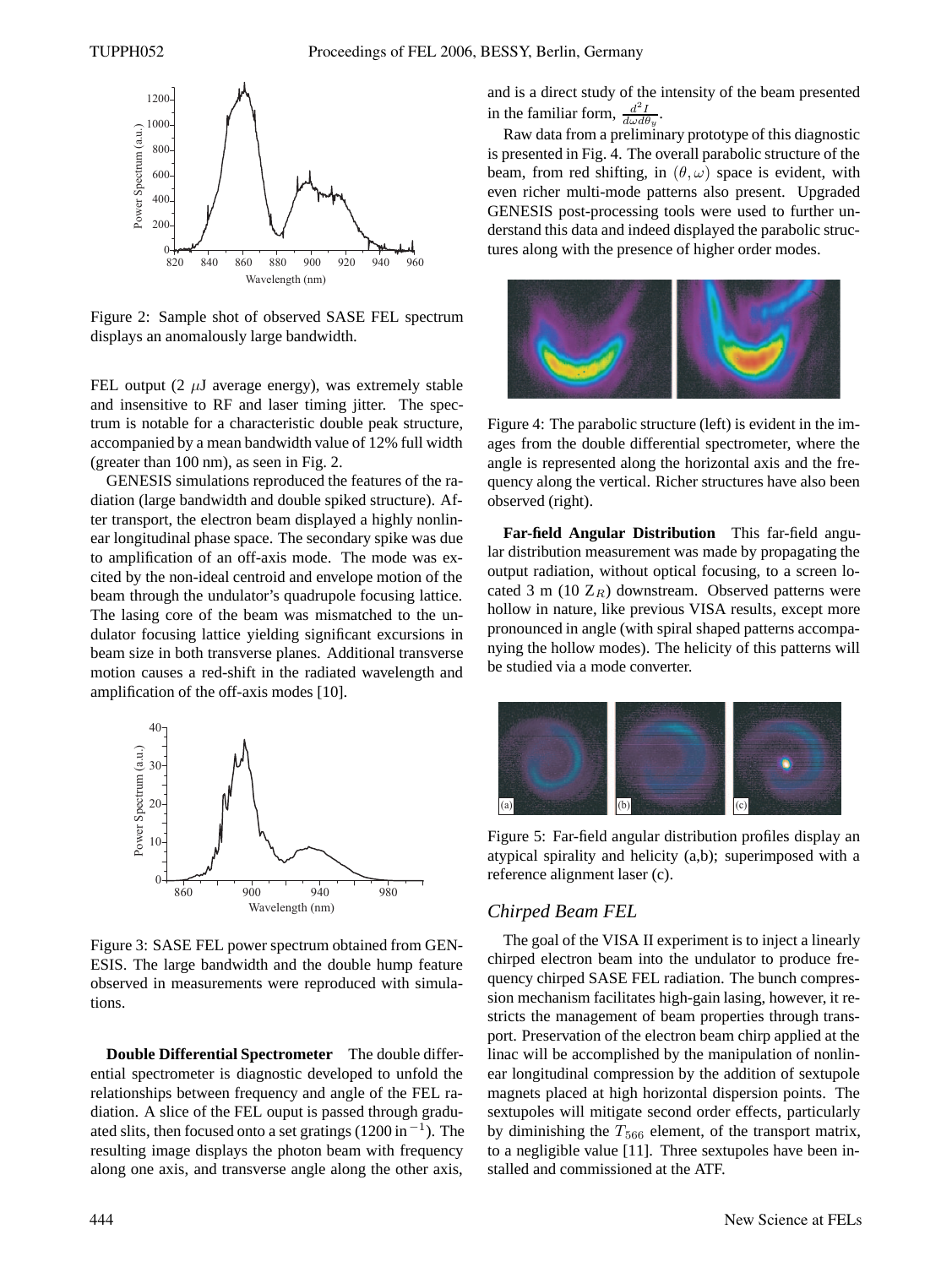

Figure 2: Sample shot of observed SASE FEL spectrum displays an anomalously large bandwidth.

FEL output (2  $\mu$ J average energy), was extremely stable and insensitive to RF and laser timing jitter. The spectrum is notable for a characteristic double peak structure, accompanied by a mean bandwidth value of 12% full width (greater than 100 nm), as seen in Fig. 2.

GENESIS simulations reproduced the features of the radiation (large bandwidth and double spiked structure). After transport, the electron beam displayed a highly nonlinear longitudinal phase space. The secondary spike was due to amplification of an off-axis mode. The mode was excited by the non-ideal centroid and envelope motion of the beam through the undulator's quadrupole focusing lattice. The lasing core of the beam was mismatched to the undulator focusing lattice yielding significant excursions in beam size in both transverse planes. Additional transverse motion causes a red-shift in the radiated wavelength and amplification of the off-axis modes [10].



Figure 3: SASE FEL power spectrum obtained from GEN-ESIS. The large bandwidth and the double hump feature observed in measurements were reproduced with simulations.

**Double Differential Spectrometer** The double differential spectrometer is diagnostic developed to unfold the relationships between frequency and angle of the FEL radiation. A slice of the FEL ouput is passed through graduated slits, then focused onto a set gratings (1200 in*−*<sup>1</sup>). The resulting image displays the photon beam with frequency along one axis, and transverse angle along the other axis,

and is a direct study of the intensity of the beam presented in the familiar form,  $\frac{d^2 I}{d\omega d\theta_y}$ .

Raw data from a preliminary prototype of this diagnostic is presented in Fig. 4. The overall parabolic structure of the beam, from red shifting, in  $(\theta, \omega)$  space is evident, with even richer multi-mode patterns also present. Upgraded GENESIS post-processing tools were used to further understand this data and indeed displayed the parabolic structures along with the presence of higher order modes.



Figure 4: The parabolic structure (left) is evident in the images from the double differential spectrometer, where the angle is represented along the horizontal axis and the frequency along the vertical. Richer structures have also been observed (right).

**Far-field Angular Distribution** This far-field angular distribution measurement was made by propagating the output radiation, without optical focusing, to a screen located 3 m (10  $Z_R$ ) downstream. Observed patterns were hollow in nature, like previous VISA results, except more pronounced in angle (with spiral shaped patterns accompanying the hollow modes). The helicity of this patterns will be studied via a mode converter.



Figure 5: Far-field angular distribution profiles display an atypical spirality and helicity (a,b); superimposed with a reference alignment laser (c).

#### *Chirped Beam FEL*

The goal of the VISA II experiment is to inject a linearly chirped electron beam into the undulator to produce frequency chirped SASE FEL radiation. The bunch compression mechanism facilitates high-gain lasing, however, it restricts the management of beam properties through transport. Preservation of the electron beam chirp applied at the linac will be accomplished by the manipulation of nonlinear longitudinal compression by the addition of sextupole magnets placed at high horizontal dispersion points. The sextupoles will mitigate second order effects, particularly by diminishing the  $T_{566}$  element, of the transport matrix, to a negligible value [11]. Three sextupoles have been installed and commissioned at the ATF.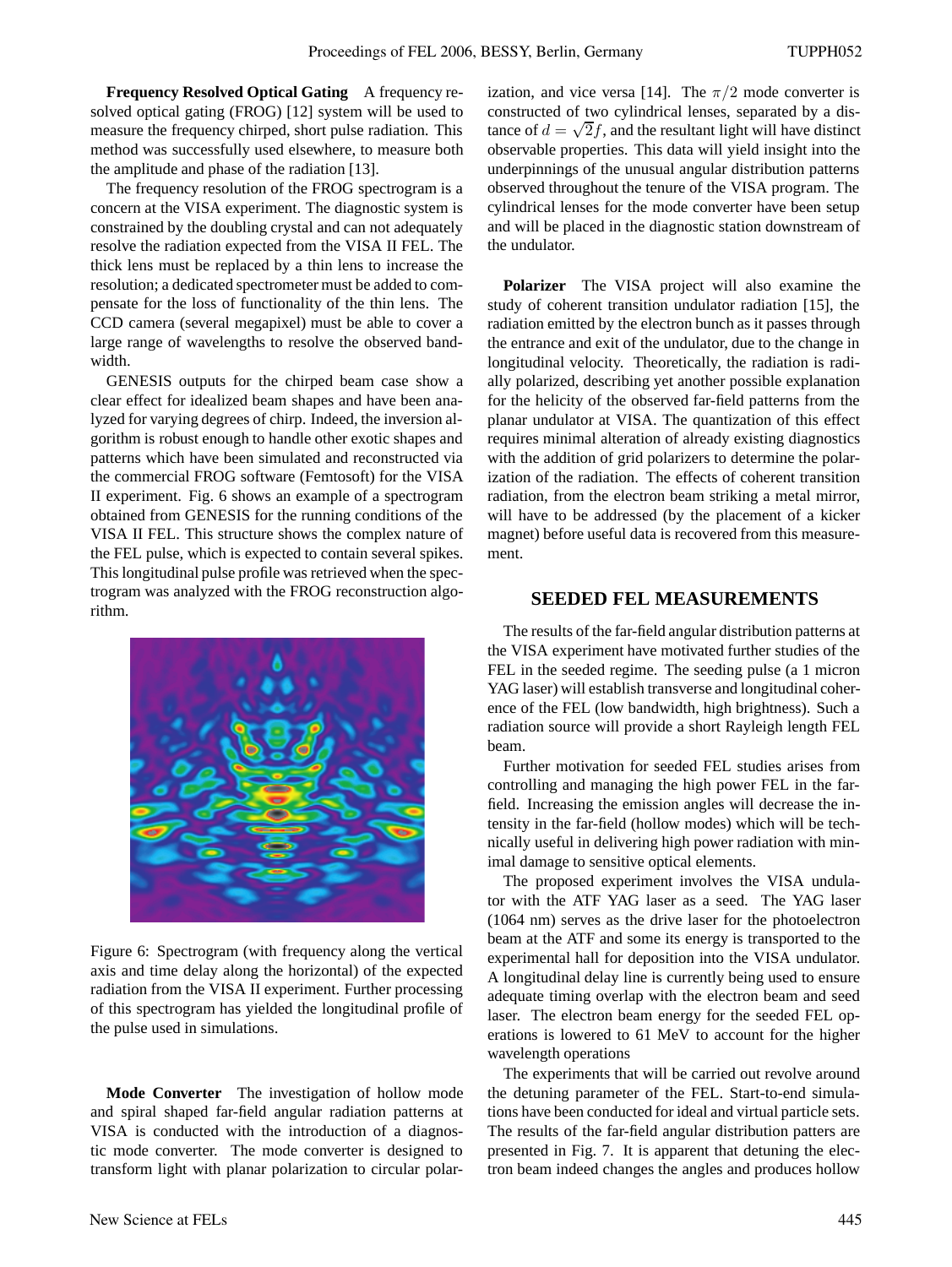**Frequency Resolved Optical Gating** A frequency resolved optical gating (FROG) [12] system will be used to measure the frequency chirped, short pulse radiation. This method was successfully used elsewhere, to measure both the amplitude and phase of the radiation [13].

The frequency resolution of the FROG spectrogram is a concern at the VISA experiment. The diagnostic system is constrained by the doubling crystal and can not adequately resolve the radiation expected from the VISA II FEL. The thick lens must be replaced by a thin lens to increase the resolution; a dedicated spectrometer must be added to compensate for the loss of functionality of the thin lens. The CCD camera (several megapixel) must be able to cover a large range of wavelengths to resolve the observed bandwidth.

GENESIS outputs for the chirped beam case show a clear effect for idealized beam shapes and have been analyzed for varying degrees of chirp. Indeed, the inversion algorithm is robust enough to handle other exotic shapes and patterns which have been simulated and reconstructed via the commercial FROG software (Femtosoft) for the VISA II experiment. Fig. 6 shows an example of a spectrogram obtained from GENESIS for the running conditions of the VISA II FEL. This structure shows the complex nature of the FEL pulse, which is expected to contain several spikes. This longitudinal pulse profile was retrieved when the spectrogram was analyzed with the FROG reconstruction algorithm.



Figure 6: Spectrogram (with frequency along the vertical axis and time delay along the horizontal) of the expected radiation from the VISA II experiment. Further processing of this spectrogram has yielded the longitudinal profile of the pulse used in simulations.

**Mode Converter** The investigation of hollow mode and spiral shaped far-field angular radiation patterns at VISA is conducted with the introduction of a diagnostic mode converter. The mode converter is designed to transform light with planar polarization to circular polarization, and vice versa [14]. The  $\pi/2$  mode converter is constructed of two cylindrical lenses, separated by a distance of  $d = \sqrt{2}f$ , and the resultant light will have distinct observable properties. This data will yield insight into the underpinnings of the unusual angular distribution patterns observed throughout the tenure of the VISA program. The cylindrical lenses for the mode converter have been setup and will be placed in the diagnostic station downstream of the undulator.

**Polarizer** The VISA project will also examine the study of coherent transition undulator radiation [15], the radiation emitted by the electron bunch as it passes through the entrance and exit of the undulator, due to the change in longitudinal velocity. Theoretically, the radiation is radially polarized, describing yet another possible explanation for the helicity of the observed far-field patterns from the planar undulator at VISA. The quantization of this effect requires minimal alteration of already existing diagnostics with the addition of grid polarizers to determine the polarization of the radiation. The effects of coherent transition radiation, from the electron beam striking a metal mirror, will have to be addressed (by the placement of a kicker magnet) before useful data is recovered from this measurement.

#### **SEEDED FEL MEASUREMENTS**

The results of the far-field angular distribution patterns at the VISA experiment have motivated further studies of the FEL in the seeded regime. The seeding pulse (a 1 micron YAG laser) will establish transverse and longitudinal coherence of the FEL (low bandwidth, high brightness). Such a radiation source will provide a short Rayleigh length FEL beam.

Further motivation for seeded FEL studies arises from controlling and managing the high power FEL in the farfield. Increasing the emission angles will decrease the intensity in the far-field (hollow modes) which will be technically useful in delivering high power radiation with minimal damage to sensitive optical elements.

The proposed experiment involves the VISA undulator with the ATF YAG laser as a seed. The YAG laser (1064 nm) serves as the drive laser for the photoelectron beam at the ATF and some its energy is transported to the experimental hall for deposition into the VISA undulator. A longitudinal delay line is currently being used to ensure adequate timing overlap with the electron beam and seed laser. The electron beam energy for the seeded FEL operations is lowered to 61 MeV to account for the higher wavelength operations

The experiments that will be carried out revolve around the detuning parameter of the FEL. Start-to-end simulations have been conducted for ideal and virtual particle sets. The results of the far-field angular distribution patters are presented in Fig. 7. It is apparent that detuning the electron beam indeed changes the angles and produces hollow